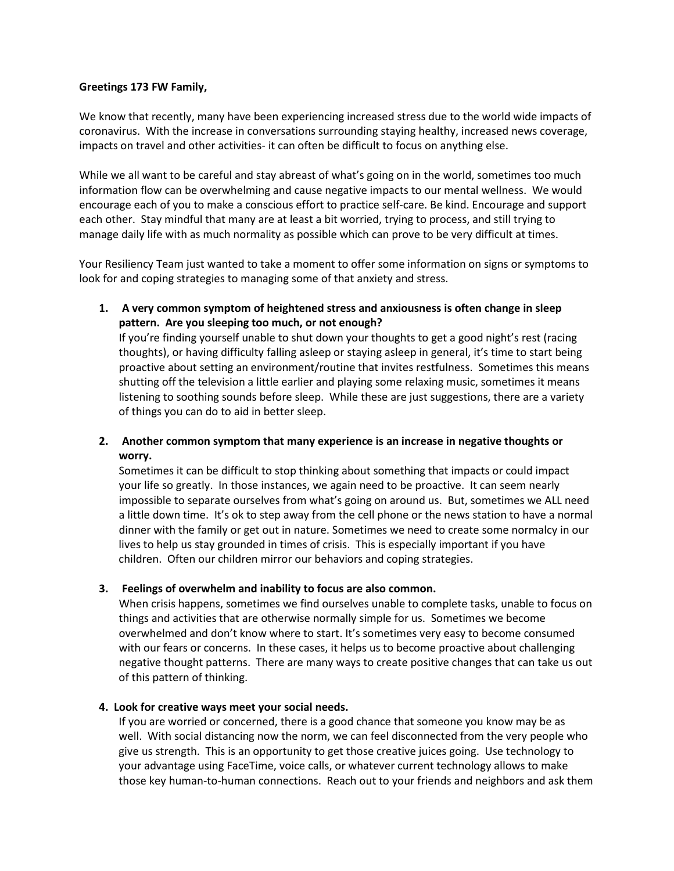## **Greetings 173 FW Family,**

We know that recently, many have been experiencing increased stress due to the world wide impacts of coronavirus. With the increase in conversations surrounding staying healthy, increased news coverage, impacts on travel and other activities- it can often be difficult to focus on anything else.

While we all want to be careful and stay abreast of what's going on in the world, sometimes too much information flow can be overwhelming and cause negative impacts to our mental wellness. We would encourage each of you to make a conscious effort to practice self-care. Be kind. Encourage and support each other. Stay mindful that many are at least a bit worried, trying to process, and still trying to manage daily life with as much normality as possible which can prove to be very difficult at times.

Your Resiliency Team just wanted to take a moment to offer some information on signs or symptoms to look for and coping strategies to managing some of that anxiety and stress.

**1. A very common symptom of heightened stress and anxiousness is often change in sleep pattern. Are you sleeping too much, or not enough?**  If you're finding yourself unable to shut down your thoughts to get a good night's rest (racing thoughts), or having difficulty falling asleep or staying asleep in general, it's time to start being proactive about setting an environment/routine that invites restfulness. Sometimes this means shutting off the television a little earlier and playing some relaxing music, sometimes it means listening to soothing sounds before sleep. While these are just suggestions, there are a variety of things you can do to aid in better sleep.

## **2. Another common symptom that many experience is an increase in negative thoughts or worry.**

Sometimes it can be difficult to stop thinking about something that impacts or could impact your life so greatly. In those instances, we again need to be proactive. It can seem nearly impossible to separate ourselves from what's going on around us. But, sometimes we ALL need a little down time. It's ok to step away from the cell phone or the news station to have a normal dinner with the family or get out in nature. Sometimes we need to create some normalcy in our lives to help us stay grounded in times of crisis. This is especially important if you have children. Often our children mirror our behaviors and coping strategies.

## **3. Feelings of overwhelm and inability to focus are also common.**

When crisis happens, sometimes we find ourselves unable to complete tasks, unable to focus on things and activities that are otherwise normally simple for us. Sometimes we become overwhelmed and don't know where to start. It's sometimes very easy to become consumed with our fears or concerns. In these cases, it helps us to become proactive about challenging negative thought patterns. There are many ways to create positive changes that can take us out of this pattern of thinking.

## **4. Look for creative ways meet your social needs.**

If you are worried or concerned, there is a good chance that someone you know may be as well. With social distancing now the norm, we can feel disconnected from the very people who give us strength. This is an opportunity to get those creative juices going. Use technology to your advantage using FaceTime, voice calls, or whatever current technology allows to make those key human-to-human connections. Reach out to your friends and neighbors and ask them